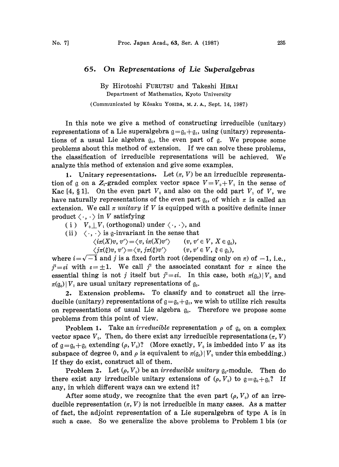## 65. On Representations of Lie Superalgebras

By Hirotoshi FURUTSU and Takeshi HIRAI Department of Mathematics, Kyoto University

(Communicated by Kôsaku Yosipa, M. J. A., Sept. 14, 1987)

In this note we give a method of constructing irreducible (unitary) representations of a Lie superalgebra  $g = g_0 + g_1$ , using (unitary) representations of a usual Lie algebra  $g_0$ , the even part of g. We propose some problems about this method of extension. If we can solve these problems, the classification of irreducible representations will be achieved. We analyze this method of extension and give some examples.

1. Unitary representations. Let  $(\pi, V)$  be an irreducible representation of  $\alpha$  on a  $Z_2$ -graded complex vector space  $V = V_0 + V_1$  in the sense of Kac [4, § 1]. On the even part  $V_0$  and also on the odd part  $V_1$  of V, we have naturally representations of the even part  $g_0$ , of which  $\pi$  is called an extension. We call  $\pi$  unitary if V is equipped with a positive definite inner product  $\langle \cdot, \cdot \rangle$  in V satisfying

( i )  $V_0 \perp V_1$  (orthogonal) under  $\langle \cdot, \cdot \rangle$ , and

(ii)  $\langle \cdot, \cdot \rangle$  is g-invariant in the sense that

 $\langle i\pi(X)v, v'\rangle = \langle v, i\pi(X)v'\rangle \qquad (v, v' \in V, X \in \mathfrak{g}_0),$ 

 $\langle j\pi(\xi)v, v'\rangle = \langle v, j\pi(\xi)v'\rangle$   $(v, v' \in V, \xi \in \mathfrak{g}_1),$ 

where  $i = \sqrt{-1}$  and j is a fixed forth root (depending only on  $\pi$ ) of  $-1$ , i.e.,  $j^2 = \varepsilon i$  with  $\varepsilon = \pm 1$ . We call  $j^2$  the associated constant for  $\pi$  since the essential thing is not j itself but  $j^2 = \varepsilon i$ . In this case, both  $\pi(q_0) | V_0$  and  $\pi(\mathfrak{g}_0)|V_1$  are usual unitary representations of  $\mathfrak{g}_0$ .

2. Extension problems. To classify and to construct all the irreducible (unitary) representations of  $g = g_0 + g_1$ , we wish to utilize rich results on representations of usual Lie algebra  $g_0$ . Therefore we propose some problems from this point of view.

**Problem 1.** Take an *irreducible* representation  $\rho$  of  $g_0$  on a complex vector space  $V_0$ . Then, do there exist any irreducible representations  $(\pi, V)$ of  $g=g_0+g_1$  extending  $(\rho, V_0)$ ? (More exactly,  $V_0$  is imbedded into V as its subspace of degree 0, and  $\rho$  is equivalent to  $\pi(q_0) | V_0$  under this embedding.) If they do exist, construct all of them.

**Problem 2.** Let  $(\rho, V_0)$  be an *irreducible unitary*  $\mathfrak{g}_0$ -module. Then do there exist any irreducible unitary extensions of  $(\rho, V_0)$  to  $g = g_0 + g_1$ ? If any, in which different ways can we extend it?

After some study, we recognize that the even part  $(\rho, V_0)$  of an irreducible representation  $(\pi, V)$  is not irreducible in many cases. As a matter of fact, the adjoint representation of <sup>a</sup> Lie superalgebra of type A is in such a case. So we generalize the above problems to Problem <sup>1</sup> bis (or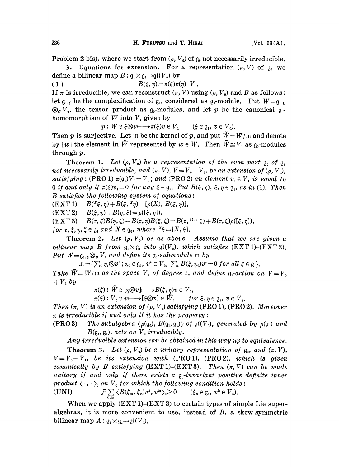Problem 2 bis), where we start from  $(\rho, V_0)$  of  $\mathfrak{g}_0$  not necessarily irreducible.

3. Equations for extension. For a representation  $(\pi, V)$  of g, we define a bilinear map  $B: \mathfrak{g}_1 \times \mathfrak{g}_1 \rightarrow \mathfrak{gl}(V_0)$  by

( 1 )  $B(\xi, \eta) = \pi(\xi) \pi(\eta) |V_0$ .

If  $\pi$  is irreducible, we can reconstruct  $(\pi, V)$  using  $(\rho, V_0)$  and B as follows: let  $g_{1,c}$  be the complexification of  $g_1$ , considered as  $g_0$ -module. Put  $W = g_{1,c}$  $\otimes_c V_0$ , the tensor product as  $g_0$ -modules, and let p be the canonical  $g_0$ homomorphism of  $W$  into  $V_1$  given by

 $p: W \ni \xi \otimes v \longmapsto \pi(\xi)v \in V_1$  ( $\xi \in \mathfrak{g}_1, v \in V_0$ ).

Then p is surjective. Let m be the kernel of p, and put  $\tilde{W}=W/\mathfrak{m}$  and denote by [w] the element in  $\tilde{W}$  represented by  $w \in W$ . Then  $\tilde{W} \cong V_1$  as  $\mathfrak{g}_0$ -modules through p.

Theorem 1. Let  $(\rho, V_0)$  be a representation of the even part  $\mathfrak{g}_0$  of  $\mathfrak{g}_1$ , not necessarily irreducible, and  $(\pi, V)$ ,  $V = V_0 + V_1$ , be an extension of  $(\rho, V_0)$ , satisfying: (PRO 1)  $\pi(q_i)V_0=V_1$ ; and (PRO 2) an element  $v_i \in V_i$  is equal to 0 if and only if  $\pi(\xi)v_i=0$  for any  $\xi \in \mathfrak{g}_i$ . Put  $B(\xi, \eta)$ ,  $\xi, \eta \in \mathfrak{g}_i$ , as in (1). Then  $B$  satisfies the following system of equations:

 $(EXT 1)$   $B({}^{x}\xi, \eta) + B(\xi, {}^{x}\eta) = [\rho(X), B(\xi, \eta)],$ 

 $(EXT2) \quad B(\xi, \eta) + B(\eta, \xi) = \rho([\xi, \eta]),$ 

 $\text{EXT 3)} \quad B(\tau, \xi)B(\eta, \zeta) + B(\tau, \eta)B(\xi, \zeta) = B(\tau, \zeta, \zeta) + B(\tau, \zeta)\rho(\zeta, \eta),$ 

for  $\tau$ ,  $\xi$ ,  $\eta$ ,  $\zeta \in \mathfrak{g}_1$  and  $X \in \mathfrak{g}_0$ , where  $X \xi = [X, \xi]$ .

Theorem 2. Let  $(\rho, V_0)$  be as above. Assume that we are given a bilinear map B from  $g_1 \times g_1$  into  $g( V_0)$ , which satisfies (EXT 1)-(EXT 3). Put  $W = \mathfrak{g}_{1,c} \otimes_{\mathbf{c}} V_{0}$  and define its  $\mathfrak{g}_{0}$ -submodule m by

 $m=\{\sum_i \eta_i\otimes v^i\,;\, \eta_i\in\mathfrak{g}_1,\ v^i\in V_0,\ \sum_i B(\xi,\eta_i)v^i=0\,\,for\,\,all\,\,\xi\in\mathfrak{g}_1\}.$ Take  $\tilde{W}= W/\mathfrak{m}$  as the space  $V_1$  of degree 1, and define  $\mathfrak{g}_1$ -action on  $V=V_0$  $+ V_1$  by

 $\pi(\xi): \tilde{W} \ni [\eta \otimes v] \longmapsto B(\xi, \eta)v \in V_0,$ 

 $\pi(\xi): V_0 \ni v \longrightarrow [\xi \otimes v] \in \tilde{W}, \quad for \xi, \eta \in \mathfrak{g}_1, v \in V_0.$ 

Then  $(\pi, V)$  is an extension of  $(\rho, V_0)$  satisfying (PRO 1), (PRO 2). Moreover  $\pi$  is irreducible if and only if it has the property:

(PRO 3) The subalgebra  $\langle \rho(\mathfrak{g}_0), B(\mathfrak{g}_1, \mathfrak{g}_1) \rangle$  of  $\mathfrak{gl}(V_0)$ , generated by  $\rho(\mathfrak{g}_0)$  and  $B(\mathfrak{g}_1, \mathfrak{g}_1)$ , acts on  $V_0$  irreducibly.

Any irreducible extension can be obtained in this way up to equivalence.

**Theorem 3.** Let  $(\rho, V_0)$  be a unitary representation of  $g_0$ , and  $(\pi, V)$ ,  $V = V_0 + V_1$ , be its extension with (PRO 1), (PRO 2), which is given canonically by B satisfying  $(EXT 1)$ - $(EXT 3)$ . Then  $(\pi, V)$  can be made unitary if and only if there exists a  $q_0$ -invariant positive definite inner product  $\langle \cdot, \cdot \rangle$  on  $V$  for which the following condition holds:

(UNI)  $j^2 \sum_{k} \langle B(\xi_m, \xi_k) v^k, v^m \rangle_0 \geq 0$   $(\xi_k \in \mathfrak{g}_1, v^k \in V_0).$ 

When we apply  $(EXT 1)-(EXT 3)$  to certain types of simple Lie superalgebras, it is more convenient to use, instead of B, a skew-symmetric bilinear map  $A: \mathfrak{g}_1 \times \mathfrak{g}_1 \rightarrow \mathfrak{gl}(V_0)$ ,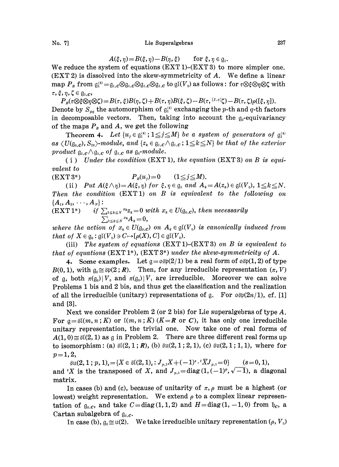## No. 7] Lie Superalgebras 237

$$
A(\xi,\eta)\!=\!B(\xi,\eta)\!-\!B(\eta,\xi)\qquad\text{for }\xi,\eta\in\mathfrak{g}_\text{i}.
$$

We reduce the system of equations  $(EXT 1)-(EXT 3)$  to more simpler one. (EXT 2) is dissolved into the skew-symmetricity of A. We define <sup>a</sup> linear map  $P_B$  from  $\mathfrak{g}_1^{(4)} = \mathfrak{g}_{1,c} \otimes \mathfrak{g}_{1,c} \otimes \mathfrak{g}_{1,c} \otimes \mathfrak{g}_{1,c}$  to  $\mathfrak{gl}(V_0)$  as follows: for  $\tau \otimes \xi \otimes \eta \otimes \zeta$  with  $\tau$ ,  $\xi$ ,  $\eta$ ,  $\zeta \in \mathfrak{g}_{1,C}$ ,

 $P_{B}(\tau\otimes \xi\otimes \eta\otimes \zeta)=B(\tau,\xi)B(\eta,\zeta)+B(\tau,\eta)B(\xi,\zeta)-B(\tau,\xi^{[\xi,\eta]}\zeta)-B(\tau,\zeta)\rho([\xi,\eta]).$ Denote by  $S_{pq}$  the automorphism of  $g_i^{(4)}$  exchanging the p-th and q-th factors in decomposable vectors. Then, taking into account the  $g_0$ -equivariancy of the maps  $P<sub>B</sub>$  and A, we get the following

Theorem 4. Let  $\{u_j \in \mathfrak{g}_1^{(4)}$ ;  $1 \leq j \leq M\}$  be a system of generators of  $\mathfrak{g}_1^{(4)}$ as  $\langle U(\mathfrak{g}_{0,c}), S_{23}\rangle$ -module, and  $\{z_k \in \mathfrak{g}_{1,c} \wedge \mathfrak{g}_{1,c}; 1 \leq k \leq N\}$  be that of the exterior product  $\mathfrak{g}_{1,c} \wedge \mathfrak{g}_{1,c}$  of  $\mathfrak{g}_{1,c}$  as  $\mathfrak{g}_{0}$ -module.

(i) Under the condition  $(EXT 1)$ , the equation  $(EXT 3)$  on B is equivalent to

(EXT 3\*)  $P_B(u_i)=0$   $(1 \le j \le M).$ 

(ii) Put  $A(\xi \wedge \eta) = A(\xi, \eta)$  for  $\xi, \eta \in \mathfrak{g}_1$  and  $A_k = A(z_k) \in \mathfrak{gl}(V_0)$ ,  $1 \leq k \leq N$ . Then the condition (EXT1) on B is equivalent to the following on  ${A_1, A_2, \cdots, A_N}$ :

(EXT 1\*) if  $\sum_{1\leq k\leq N} x_k z_k = 0$  with  $x_k \in U(\mathfrak{g}_{0,c})$ , then necessarily  $\sum_{1\leq k\leq N}x_kA_k=0,$ 

where the action of  $x_k \in U(\mathfrak{g}_{0,c})$  on  $A_k \in \mathfrak{gl}(V_o)$  is canonically induced from that of  $X \in \mathfrak{g}_0: \mathfrak{gl}(V_0) \ni C \mapsto [\rho(X), C] \in \mathfrak{gl}(V_0).$ 

(iii) The system of equations (EXT 1)-(EXT 3) on B is equivalent to that of equations  $(EXT 1^*)$ ,  $(EXT 3^*)$  under the skew-symmetricity of A.

4. Some examples. Let  $g = \alpha \sin(2/1)$  be a real form of  $\alpha \sin(1, 2)$  of type  $B(0, 1)$ , with  $\mathfrak{g}_0 \cong \text{Sp}(2; \mathbb{R})$ . Then, for any irreducible representation  $(\pi, V)$ of q, both  $\pi(q_0)|V_0$  and  $\pi(q_0)|V_1$  are irreducible. Moreover we can solve Problems <sup>1</sup> bis and 2 bis, and thus get the classification and the realization of all the irreducible (unitary) representations of g. For  $\alpha \in (2n/1)$ , cf. [1] and [3].

Next we consider Problem 2 (or 2 bis) for Lie superalgebras of type A. For  $a=\tilde{\mathfrak{sl}}(m,n;K)$  or  $\mathfrak{l}(m,n;K)(K=R$  or C), it has only one irreducible unitary representation, the trivial one. Now take one of real forms of  $A(1, 0) \leq \frac{\beta}{2}(2, 1)$  as g in Problem 2. There are three different real forms up to isomorphism: (a)  $\mathfrak{sl}(2, 1; R)$ , (b)  $\mathfrak{su}(2, 1; 2, 1)$ , (c)  $\mathfrak{su}(2, 1; 1, 1)$ , where for  $p=1,2,$ 

 $\text{SU}(2,1$  ;  $p$ ,  $1)_s = \{X \in \mathfrak{K}(2,1)_s: J_{p,1}X + (-1)^s \cdot {}^t\overline{X}J_{p,1} = 0\}$  (s=0, 1), and 'X is the transposed of X, and  $J_{p,1} = \text{diag}(1, (-1)^p, \sqrt{-1})$ , a diagonal matrix.

In cases (b) and (c), because of unitarity of  $\pi$ ,  $\rho$  must be a highest (or lowest) weight representation. We extend  $\rho$  to a complex linear representation of  $g_{0,c}$ , and take  $C = diag(1, 1, 2)$  and  $H = diag(1, -1, 0)$  from  $\not{b}_c$ , a Cartan subalgebra of  $g_{0,c}$ .

In case (b),  $\mathfrak{g}_0 \cong \mathfrak{u}(2)$ . We take irreducible unitary representation ( $\rho$ ,  $V_0$ )